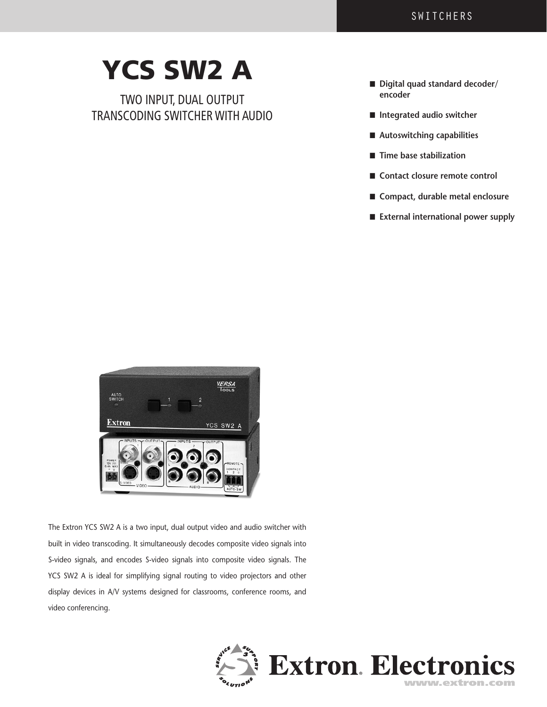## YCS SW2 A

 TWO INPUT, DUAL OUTPUT transcoding SWITCHER with audio

- Digital quad standard decoder/ **encoder**
- Integrated audio switcher
- Autoswitching capabilities
- **■** Time base stabilization
- Contact closure remote control
- n **Compact, durable metal enclosure**
- n **External international power supply**



The Extron YCS SW2 A is a two input, dual output video and audio switcher with built in video transcoding. It simultaneously decodes composite video signals into S-video signals, and encodes S-video signals into composite video signals. The YCS SW2 A is ideal for simplifying signal routing to video projectors and other display devices in A/V systems designed for classrooms, conference rooms, and video conferencing.